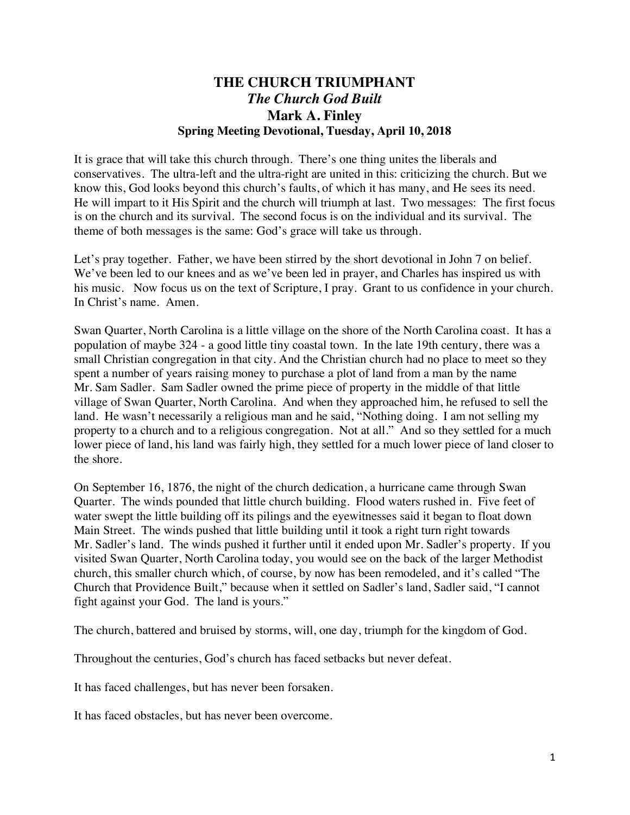## **THE CHURCH TRIUMPHANT** *The Church God Built* **Mark A. Finley Spring Meeting Devotional, Tuesday, April 10, 2018**

It is grace that will take this church through. There's one thing unites the liberals and conservatives. The ultra-left and the ultra-right are united in this: criticizing the church. But we know this, God looks beyond this church's faults, of which it has many, and He sees its need. He will impart to it His Spirit and the church will triumph at last. Two messages: The first focus is on the church and its survival. The second focus is on the individual and its survival. The theme of both messages is the same: God's grace will take us through.

Let's pray together. Father, we have been stirred by the short devotional in John 7 on belief. We've been led to our knees and as we've been led in prayer, and Charles has inspired us with his music. Now focus us on the text of Scripture, I pray. Grant to us confidence in your church. In Christ's name. Amen.

Swan Quarter, North Carolina is a little village on the shore of the North Carolina coast. It has a population of maybe 324 - a good little tiny coastal town. In the late 19th century, there was a small Christian congregation in that city. And the Christian church had no place to meet so they spent a number of years raising money to purchase a plot of land from a man by the name Mr. Sam Sadler. Sam Sadler owned the prime piece of property in the middle of that little village of Swan Quarter, North Carolina. And when they approached him, he refused to sell the land. He wasn't necessarily a religious man and he said, "Nothing doing. I am not selling my property to a church and to a religious congregation. Not at all." And so they settled for a much lower piece of land, his land was fairly high, they settled for a much lower piece of land closer to the shore.

On September 16, 1876, the night of the church dedication, a hurricane came through Swan Quarter. The winds pounded that little church building. Flood waters rushed in. Five feet of water swept the little building off its pilings and the eyewitnesses said it began to float down Main Street. The winds pushed that little building until it took a right turn right towards Mr. Sadler's land. The winds pushed it further until it ended upon Mr. Sadler's property. If you visited Swan Quarter, North Carolina today, you would see on the back of the larger Methodist church, this smaller church which, of course, by now has been remodeled, and it's called "The Church that Providence Built," because when it settled on Sadler's land, Sadler said, "I cannot fight against your God. The land is yours."

The church, battered and bruised by storms, will, one day, triumph for the kingdom of God.

Throughout the centuries, God's church has faced setbacks but never defeat.

It has faced challenges, but has never been forsaken.

It has faced obstacles, but has never been overcome.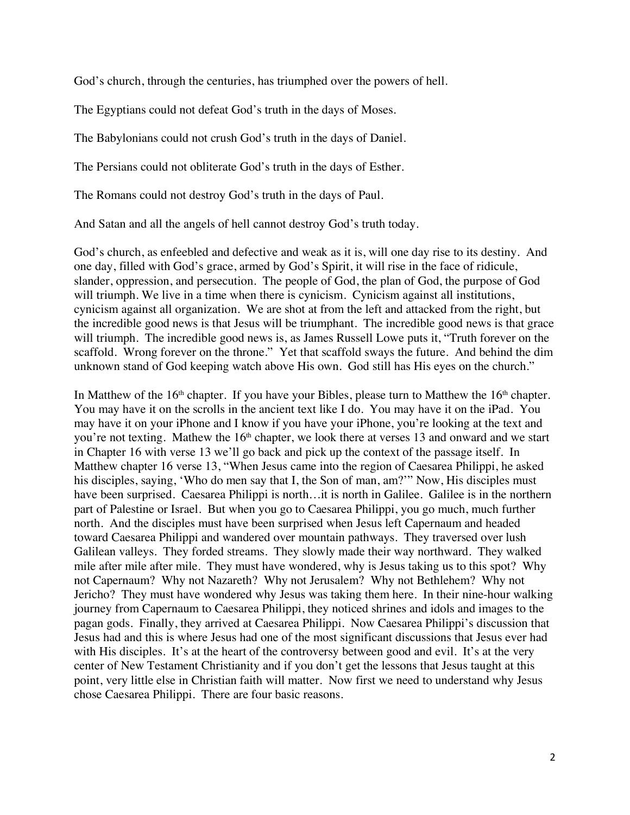God's church, through the centuries, has triumphed over the powers of hell.

The Egyptians could not defeat God's truth in the days of Moses.

The Babylonians could not crush God's truth in the days of Daniel.

The Persians could not obliterate God's truth in the days of Esther.

The Romans could not destroy God's truth in the days of Paul.

And Satan and all the angels of hell cannot destroy God's truth today.

God's church, as enfeebled and defective and weak as it is, will one day rise to its destiny. And one day, filled with God's grace, armed by God's Spirit, it will rise in the face of ridicule, slander, oppression, and persecution. The people of God, the plan of God, the purpose of God will triumph. We live in a time when there is cynicism. Cynicism against all institutions, cynicism against all organization. We are shot at from the left and attacked from the right, but the incredible good news is that Jesus will be triumphant. The incredible good news is that grace will triumph. The incredible good news is, as James Russell Lowe puts it, "Truth forever on the scaffold. Wrong forever on the throne." Yet that scaffold sways the future. And behind the dim unknown stand of God keeping watch above His own. God still has His eyes on the church."

In Matthew of the  $16<sup>th</sup>$  chapter. If you have your Bibles, please turn to Matthew the  $16<sup>th</sup>$  chapter. You may have it on the scrolls in the ancient text like I do. You may have it on the iPad. You may have it on your iPhone and I know if you have your iPhone, you're looking at the text and you're not texting. Mathew the 16<sup>th</sup> chapter, we look there at verses 13 and onward and we start in Chapter 16 with verse 13 we'll go back and pick up the context of the passage itself. In Matthew chapter 16 verse 13, "When Jesus came into the region of Caesarea Philippi, he asked his disciples, saying, 'Who do men say that I, the Son of man, am?'" Now, His disciples must have been surprised. Caesarea Philippi is north…it is north in Galilee. Galilee is in the northern part of Palestine or Israel. But when you go to Caesarea Philippi, you go much, much further north. And the disciples must have been surprised when Jesus left Capernaum and headed toward Caesarea Philippi and wandered over mountain pathways. They traversed over lush Galilean valleys. They forded streams. They slowly made their way northward. They walked mile after mile after mile. They must have wondered, why is Jesus taking us to this spot? Why not Capernaum? Why not Nazareth? Why not Jerusalem? Why not Bethlehem? Why not Jericho? They must have wondered why Jesus was taking them here. In their nine-hour walking journey from Capernaum to Caesarea Philippi, they noticed shrines and idols and images to the pagan gods. Finally, they arrived at Caesarea Philippi. Now Caesarea Philippi's discussion that Jesus had and this is where Jesus had one of the most significant discussions that Jesus ever had with His disciples. It's at the heart of the controversy between good and evil. It's at the very center of New Testament Christianity and if you don't get the lessons that Jesus taught at this point, very little else in Christian faith will matter. Now first we need to understand why Jesus chose Caesarea Philippi. There are four basic reasons.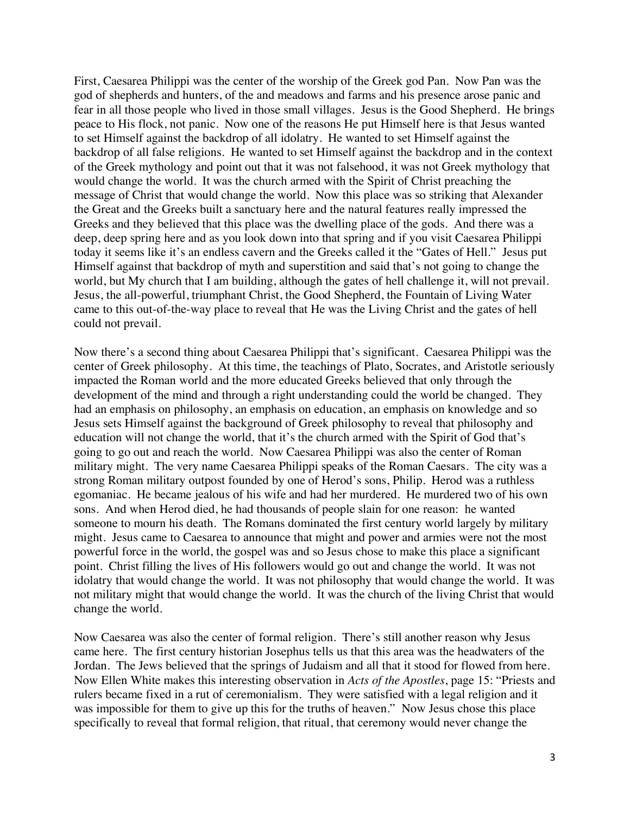First, Caesarea Philippi was the center of the worship of the Greek god Pan. Now Pan was the god of shepherds and hunters, of the and meadows and farms and his presence arose panic and fear in all those people who lived in those small villages. Jesus is the Good Shepherd. He brings peace to His flock, not panic. Now one of the reasons He put Himself here is that Jesus wanted to set Himself against the backdrop of all idolatry. He wanted to set Himself against the backdrop of all false religions. He wanted to set Himself against the backdrop and in the context of the Greek mythology and point out that it was not falsehood, it was not Greek mythology that would change the world. It was the church armed with the Spirit of Christ preaching the message of Christ that would change the world. Now this place was so striking that Alexander the Great and the Greeks built a sanctuary here and the natural features really impressed the Greeks and they believed that this place was the dwelling place of the gods. And there was a deep, deep spring here and as you look down into that spring and if you visit Caesarea Philippi today it seems like it's an endless cavern and the Greeks called it the "Gates of Hell." Jesus put Himself against that backdrop of myth and superstition and said that's not going to change the world, but My church that I am building, although the gates of hell challenge it, will not prevail. Jesus, the all-powerful, triumphant Christ, the Good Shepherd, the Fountain of Living Water came to this out-of-the-way place to reveal that He was the Living Christ and the gates of hell could not prevail.

Now there's a second thing about Caesarea Philippi that's significant. Caesarea Philippi was the center of Greek philosophy. At this time, the teachings of Plato, Socrates, and Aristotle seriously impacted the Roman world and the more educated Greeks believed that only through the development of the mind and through a right understanding could the world be changed. They had an emphasis on philosophy, an emphasis on education, an emphasis on knowledge and so Jesus sets Himself against the background of Greek philosophy to reveal that philosophy and education will not change the world, that it's the church armed with the Spirit of God that's going to go out and reach the world. Now Caesarea Philippi was also the center of Roman military might. The very name Caesarea Philippi speaks of the Roman Caesars. The city was a strong Roman military outpost founded by one of Herod's sons, Philip. Herod was a ruthless egomaniac. He became jealous of his wife and had her murdered. He murdered two of his own sons. And when Herod died, he had thousands of people slain for one reason: he wanted someone to mourn his death. The Romans dominated the first century world largely by military might. Jesus came to Caesarea to announce that might and power and armies were not the most powerful force in the world, the gospel was and so Jesus chose to make this place a significant point. Christ filling the lives of His followers would go out and change the world. It was not idolatry that would change the world. It was not philosophy that would change the world. It was not military might that would change the world. It was the church of the living Christ that would change the world.

Now Caesarea was also the center of formal religion. There's still another reason why Jesus came here. The first century historian Josephus tells us that this area was the headwaters of the Jordan. The Jews believed that the springs of Judaism and all that it stood for flowed from here. Now Ellen White makes this interesting observation in *Acts of the Apostles*, page 15: "Priests and rulers became fixed in a rut of ceremonialism. They were satisfied with a legal religion and it was impossible for them to give up this for the truths of heaven." Now Jesus chose this place specifically to reveal that formal religion, that ritual, that ceremony would never change the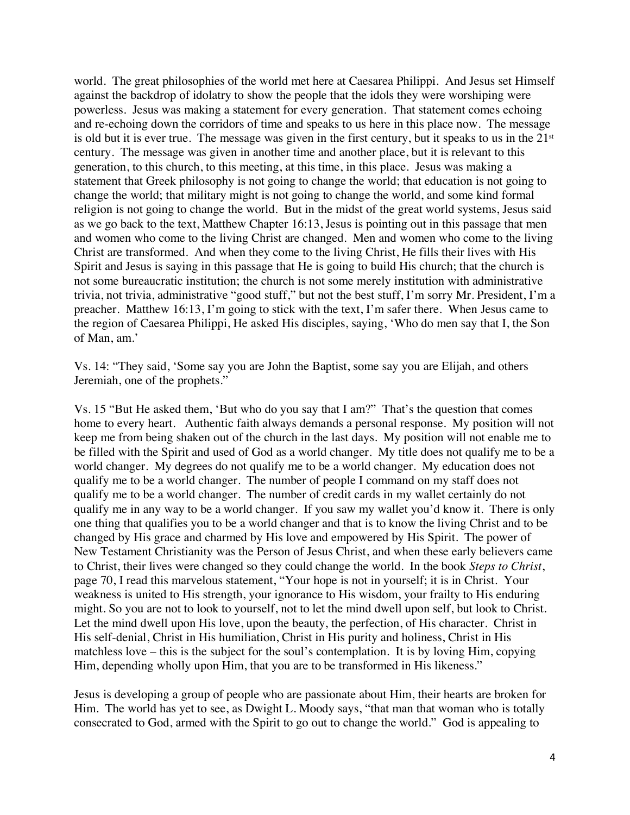world. The great philosophies of the world met here at Caesarea Philippi. And Jesus set Himself against the backdrop of idolatry to show the people that the idols they were worshiping were powerless. Jesus was making a statement for every generation. That statement comes echoing and re-echoing down the corridors of time and speaks to us here in this place now. The message is old but it is ever true. The message was given in the first century, but it speaks to us in the  $21<sup>st</sup>$ century. The message was given in another time and another place, but it is relevant to this generation, to this church, to this meeting, at this time, in this place. Jesus was making a statement that Greek philosophy is not going to change the world; that education is not going to change the world; that military might is not going to change the world, and some kind formal religion is not going to change the world. But in the midst of the great world systems, Jesus said as we go back to the text, Matthew Chapter 16:13, Jesus is pointing out in this passage that men and women who come to the living Christ are changed. Men and women who come to the living Christ are transformed. And when they come to the living Christ, He fills their lives with His Spirit and Jesus is saying in this passage that He is going to build His church; that the church is not some bureaucratic institution; the church is not some merely institution with administrative trivia, not trivia, administrative "good stuff," but not the best stuff, I'm sorry Mr. President, I'm a preacher. Matthew 16:13, I'm going to stick with the text, I'm safer there. When Jesus came to the region of Caesarea Philippi, He asked His disciples, saying, 'Who do men say that I, the Son of Man, am.'

Vs. 14: "They said, 'Some say you are John the Baptist, some say you are Elijah, and others Jeremiah, one of the prophets."

Vs. 15 "But He asked them, 'But who do you say that I am?" That's the question that comes home to every heart. Authentic faith always demands a personal response. My position will not keep me from being shaken out of the church in the last days. My position will not enable me to be filled with the Spirit and used of God as a world changer. My title does not qualify me to be a world changer. My degrees do not qualify me to be a world changer. My education does not qualify me to be a world changer. The number of people I command on my staff does not qualify me to be a world changer. The number of credit cards in my wallet certainly do not qualify me in any way to be a world changer. If you saw my wallet you'd know it. There is only one thing that qualifies you to be a world changer and that is to know the living Christ and to be changed by His grace and charmed by His love and empowered by His Spirit. The power of New Testament Christianity was the Person of Jesus Christ, and when these early believers came to Christ, their lives were changed so they could change the world. In the book *Steps to Christ*, page 70, I read this marvelous statement, "Your hope is not in yourself; it is in Christ. Your weakness is united to His strength, your ignorance to His wisdom, your frailty to His enduring might. So you are not to look to yourself, not to let the mind dwell upon self, but look to Christ. Let the mind dwell upon His love, upon the beauty, the perfection, of His character. Christ in His self-denial, Christ in His humiliation, Christ in His purity and holiness, Christ in His matchless love – this is the subject for the soul's contemplation. It is by loving Him, copying Him, depending wholly upon Him, that you are to be transformed in His likeness."

Jesus is developing a group of people who are passionate about Him, their hearts are broken for Him. The world has yet to see, as Dwight L. Moody says, "that man that woman who is totally consecrated to God, armed with the Spirit to go out to change the world." God is appealing to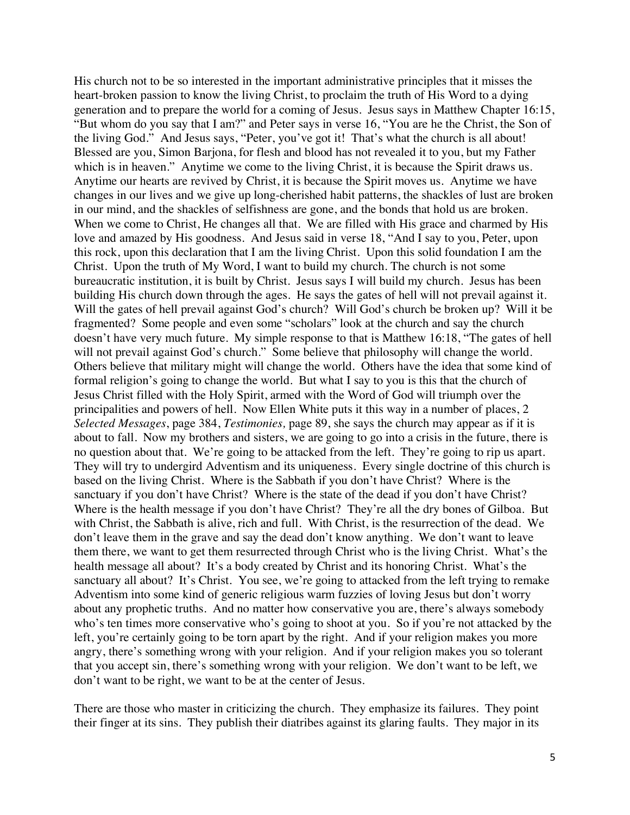His church not to be so interested in the important administrative principles that it misses the heart-broken passion to know the living Christ, to proclaim the truth of His Word to a dying generation and to prepare the world for a coming of Jesus. Jesus says in Matthew Chapter 16:15, "But whom do you say that I am?" and Peter says in verse 16, "You are he the Christ, the Son of the living God." And Jesus says, "Peter, you've got it! That's what the church is all about! Blessed are you, Simon Barjona, for flesh and blood has not revealed it to you, but my Father which is in heaven." Anytime we come to the living Christ, it is because the Spirit draws us. Anytime our hearts are revived by Christ, it is because the Spirit moves us. Anytime we have changes in our lives and we give up long-cherished habit patterns, the shackles of lust are broken in our mind, and the shackles of selfishness are gone, and the bonds that hold us are broken. When we come to Christ, He changes all that. We are filled with His grace and charmed by His love and amazed by His goodness. And Jesus said in verse 18, "And I say to you, Peter, upon this rock, upon this declaration that I am the living Christ. Upon this solid foundation I am the Christ. Upon the truth of My Word, I want to build my church. The church is not some bureaucratic institution, it is built by Christ. Jesus says I will build my church. Jesus has been building His church down through the ages. He says the gates of hell will not prevail against it. Will the gates of hell prevail against God's church? Will God's church be broken up? Will it be fragmented? Some people and even some "scholars" look at the church and say the church doesn't have very much future. My simple response to that is Matthew 16:18, "The gates of hell will not prevail against God's church." Some believe that philosophy will change the world. Others believe that military might will change the world. Others have the idea that some kind of formal religion's going to change the world. But what I say to you is this that the church of Jesus Christ filled with the Holy Spirit, armed with the Word of God will triumph over the principalities and powers of hell. Now Ellen White puts it this way in a number of places, 2 *Selected Messages*, page 384, *Testimonies,* page 89, she says the church may appear as if it is about to fall. Now my brothers and sisters, we are going to go into a crisis in the future, there is no question about that. We're going to be attacked from the left. They're going to rip us apart. They will try to undergird Adventism and its uniqueness. Every single doctrine of this church is based on the living Christ. Where is the Sabbath if you don't have Christ? Where is the sanctuary if you don't have Christ? Where is the state of the dead if you don't have Christ? Where is the health message if you don't have Christ? They're all the dry bones of Gilboa. But with Christ, the Sabbath is alive, rich and full. With Christ, is the resurrection of the dead. We don't leave them in the grave and say the dead don't know anything. We don't want to leave them there, we want to get them resurrected through Christ who is the living Christ. What's the health message all about? It's a body created by Christ and its honoring Christ. What's the sanctuary all about? It's Christ. You see, we're going to attacked from the left trying to remake Adventism into some kind of generic religious warm fuzzies of loving Jesus but don't worry about any prophetic truths. And no matter how conservative you are, there's always somebody who's ten times more conservative who's going to shoot at you. So if you're not attacked by the left, you're certainly going to be torn apart by the right. And if your religion makes you more angry, there's something wrong with your religion. And if your religion makes you so tolerant that you accept sin, there's something wrong with your religion. We don't want to be left, we don't want to be right, we want to be at the center of Jesus.

There are those who master in criticizing the church. They emphasize its failures. They point their finger at its sins. They publish their diatribes against its glaring faults. They major in its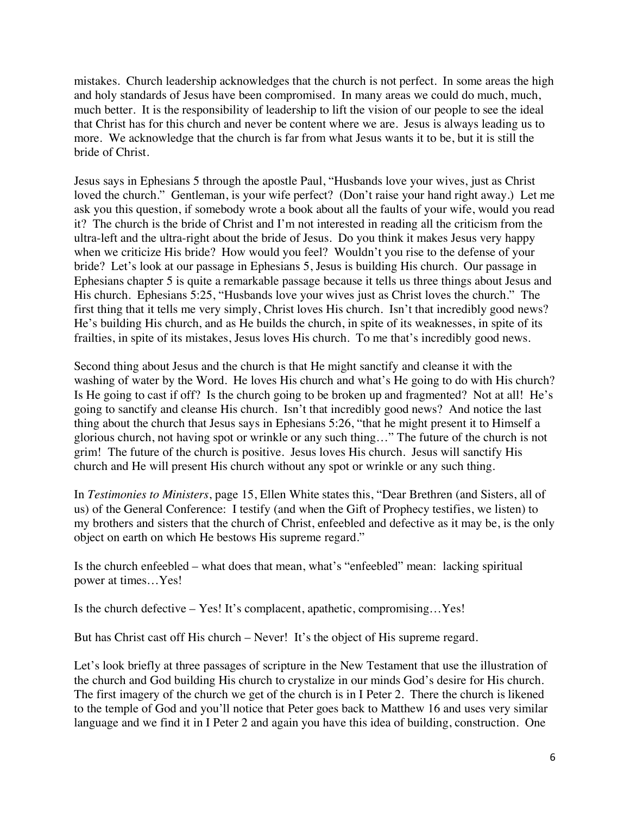mistakes. Church leadership acknowledges that the church is not perfect. In some areas the high and holy standards of Jesus have been compromised. In many areas we could do much, much, much better. It is the responsibility of leadership to lift the vision of our people to see the ideal that Christ has for this church and never be content where we are. Jesus is always leading us to more. We acknowledge that the church is far from what Jesus wants it to be, but it is still the bride of Christ.

Jesus says in Ephesians 5 through the apostle Paul, "Husbands love your wives, just as Christ loved the church." Gentleman, is your wife perfect? (Don't raise your hand right away.) Let me ask you this question, if somebody wrote a book about all the faults of your wife, would you read it? The church is the bride of Christ and I'm not interested in reading all the criticism from the ultra-left and the ultra-right about the bride of Jesus. Do you think it makes Jesus very happy when we criticize His bride? How would you feel? Wouldn't you rise to the defense of your bride? Let's look at our passage in Ephesians 5, Jesus is building His church. Our passage in Ephesians chapter 5 is quite a remarkable passage because it tells us three things about Jesus and His church. Ephesians 5:25, "Husbands love your wives just as Christ loves the church." The first thing that it tells me very simply, Christ loves His church. Isn't that incredibly good news? He's building His church, and as He builds the church, in spite of its weaknesses, in spite of its frailties, in spite of its mistakes, Jesus loves His church. To me that's incredibly good news.

Second thing about Jesus and the church is that He might sanctify and cleanse it with the washing of water by the Word. He loves His church and what's He going to do with His church? Is He going to cast if off? Is the church going to be broken up and fragmented? Not at all! He's going to sanctify and cleanse His church. Isn't that incredibly good news? And notice the last thing about the church that Jesus says in Ephesians 5:26, "that he might present it to Himself a glorious church, not having spot or wrinkle or any such thing…" The future of the church is not grim! The future of the church is positive. Jesus loves His church. Jesus will sanctify His church and He will present His church without any spot or wrinkle or any such thing.

In *Testimonies to Ministers*, page 15, Ellen White states this, "Dear Brethren (and Sisters, all of us) of the General Conference: I testify (and when the Gift of Prophecy testifies, we listen) to my brothers and sisters that the church of Christ, enfeebled and defective as it may be, is the only object on earth on which He bestows His supreme regard."

Is the church enfeebled – what does that mean, what's "enfeebled" mean: lacking spiritual power at times…Yes!

Is the church defective – Yes! It's complacent, apathetic, compromising…Yes!

But has Christ cast off His church – Never! It's the object of His supreme regard.

Let's look briefly at three passages of scripture in the New Testament that use the illustration of the church and God building His church to crystalize in our minds God's desire for His church. The first imagery of the church we get of the church is in I Peter 2. There the church is likened to the temple of God and you'll notice that Peter goes back to Matthew 16 and uses very similar language and we find it in I Peter 2 and again you have this idea of building, construction. One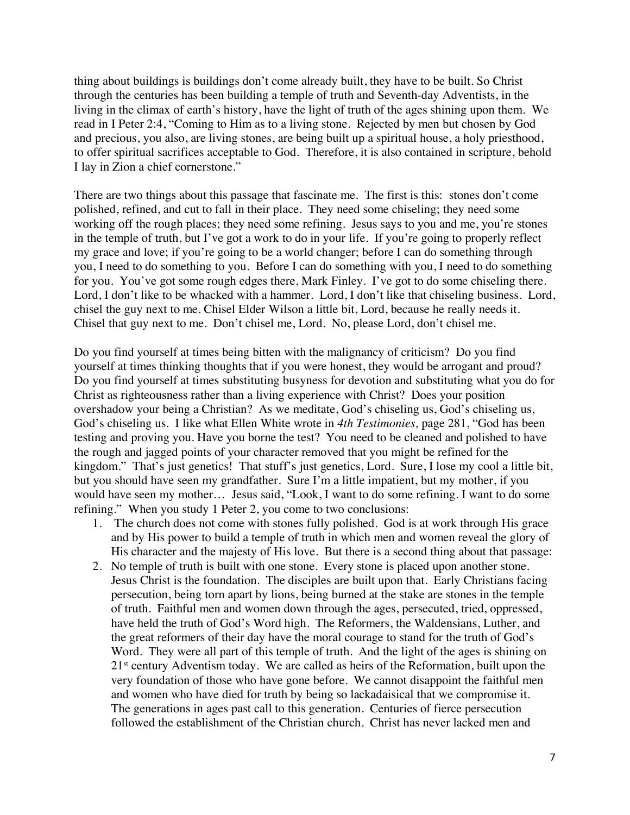thing about buildings is buildings don't come already built, they have to be built. So Christ through the centuries has been building a temple of truth and Seventh-day Adventists, in the living in the climax of earth's history, have the light of truth of the ages shining upon them. We read in I Peter 2:4, "Coming to Him as to a living stone. Rejected by men but chosen by God and precious, you also, are living stones, are being built up a spiritual house, a holy priesthood, to offer spiritual sacrifices acceptable to God. Therefore, it is also contained in scripture, behold I lay in Zion a chief cornerstone."

There are two things about this passage that fascinate me. The first is this: stones don't come polished, refined, and cut to fall in their place. They need some chiseling; they need some working off the rough places; they need some refining. Jesus says to you and me, you're stones in the temple of truth, but I've got a work to do in your life. If you're going to properly reflect my grace and love; if you're going to be a world changer; before I can do something through you, I need to do something to you. Before I can do something with you, I need to do something for you. You've got some rough edges there, Mark Finley. I've got to do some chiseling there. Lord, I don't like to be whacked with a hammer. Lord, I don't like that chiseling business. Lord, chisel the guy next to me. Chisel Elder Wilson a little bit, Lord, because he really needs it. Chisel that guy next to me. Don't chisel me, Lord. No, please Lord, don't chisel me.

Do you find yourself at times being bitten with the malignancy of criticism? Do you find yourself at times thinking thoughts that if you were honest, they would be arrogant and proud? Do you find yourself at times substituting busyness for devotion and substituting what you do for Christ as righteousness rather than a living experience with Christ? Does your position overshadow your being a Christian? As we meditate, God's chiseling us, God's chiseling us, God's chiseling us. I like what Ellen White wrote in *4th Testimonies,* page 281, "God has been testing and proving you. Have you borne the test? You need to be cleaned and polished to have the rough and jagged points of your character removed that you might be refined for the kingdom." That's just genetics! That stuff's just genetics, Lord. Sure, I lose my cool a little bit, but you should have seen my grandfather. Sure I'm a little impatient, but my mother, if you would have seen my mother… Jesus said, "Look, I want to do some refining. I want to do some refining." When you study 1 Peter 2, you come to two conclusions:

- 1. The church does not come with stones fully polished. God is at work through His grace and by His power to build a temple of truth in which men and women reveal the glory of His character and the majesty of His love. But there is a second thing about that passage:
- 2. No temple of truth is built with one stone. Every stone is placed upon another stone. Jesus Christ is the foundation. The disciples are built upon that. Early Christians facing persecution, being torn apart by lions, being burned at the stake are stones in the temple of truth. Faithful men and women down through the ages, persecuted, tried, oppressed, have held the truth of God's Word high. The Reformers, the Waldensians, Luther, and the great reformers of their day have the moral courage to stand for the truth of God's Word. They were all part of this temple of truth. And the light of the ages is shining on 21<sup>st</sup> century Adventism today. We are called as heirs of the Reformation, built upon the very foundation of those who have gone before. We cannot disappoint the faithful men and women who have died for truth by being so lackadaisical that we compromise it. The generations in ages past call to this generation. Centuries of fierce persecution followed the establishment of the Christian church. Christ has never lacked men and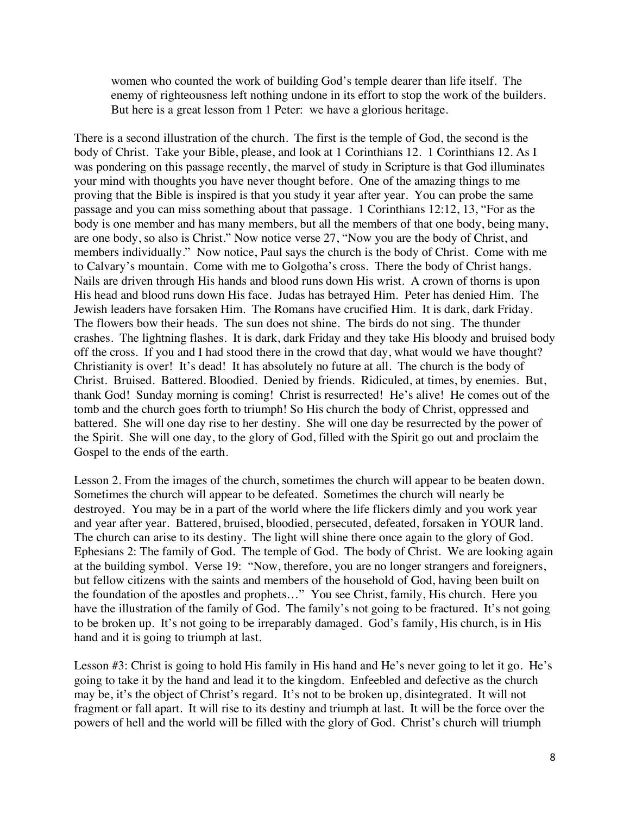women who counted the work of building God's temple dearer than life itself. The enemy of righteousness left nothing undone in its effort to stop the work of the builders. But here is a great lesson from 1 Peter: we have a glorious heritage.

There is a second illustration of the church. The first is the temple of God, the second is the body of Christ. Take your Bible, please, and look at 1 Corinthians 12. 1 Corinthians 12. As I was pondering on this passage recently, the marvel of study in Scripture is that God illuminates your mind with thoughts you have never thought before. One of the amazing things to me proving that the Bible is inspired is that you study it year after year. You can probe the same passage and you can miss something about that passage. 1 Corinthians 12:12, 13, "For as the body is one member and has many members, but all the members of that one body, being many, are one body, so also is Christ." Now notice verse 27, "Now you are the body of Christ, and members individually." Now notice, Paul says the church is the body of Christ. Come with me to Calvary's mountain. Come with me to Golgotha's cross. There the body of Christ hangs. Nails are driven through His hands and blood runs down His wrist. A crown of thorns is upon His head and blood runs down His face. Judas has betrayed Him. Peter has denied Him. The Jewish leaders have forsaken Him. The Romans have crucified Him. It is dark, dark Friday. The flowers bow their heads. The sun does not shine. The birds do not sing. The thunder crashes. The lightning flashes. It is dark, dark Friday and they take His bloody and bruised body off the cross. If you and I had stood there in the crowd that day, what would we have thought? Christianity is over! It's dead! It has absolutely no future at all. The church is the body of Christ. Bruised. Battered. Bloodied. Denied by friends. Ridiculed, at times, by enemies. But, thank God! Sunday morning is coming! Christ is resurrected! He's alive! He comes out of the tomb and the church goes forth to triumph! So His church the body of Christ, oppressed and battered. She will one day rise to her destiny. She will one day be resurrected by the power of the Spirit. She will one day, to the glory of God, filled with the Spirit go out and proclaim the Gospel to the ends of the earth.

Lesson 2. From the images of the church, sometimes the church will appear to be beaten down. Sometimes the church will appear to be defeated. Sometimes the church will nearly be destroyed. You may be in a part of the world where the life flickers dimly and you work year and year after year. Battered, bruised, bloodied, persecuted, defeated, forsaken in YOUR land. The church can arise to its destiny. The light will shine there once again to the glory of God. Ephesians 2: The family of God. The temple of God. The body of Christ. We are looking again at the building symbol. Verse 19: "Now, therefore, you are no longer strangers and foreigners, but fellow citizens with the saints and members of the household of God, having been built on the foundation of the apostles and prophets…" You see Christ, family, His church. Here you have the illustration of the family of God. The family's not going to be fractured. It's not going to be broken up. It's not going to be irreparably damaged. God's family, His church, is in His hand and it is going to triumph at last.

Lesson #3: Christ is going to hold His family in His hand and He's never going to let it go. He's going to take it by the hand and lead it to the kingdom. Enfeebled and defective as the church may be, it's the object of Christ's regard. It's not to be broken up, disintegrated. It will not fragment or fall apart. It will rise to its destiny and triumph at last. It will be the force over the powers of hell and the world will be filled with the glory of God. Christ's church will triumph